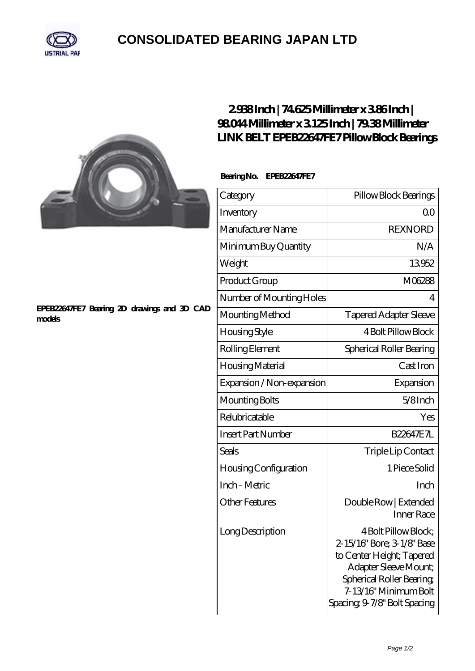

## **[CONSOLIDATED BEARING JAPAN LTD](https://m.psp11.de)**



### **[EPEB22647FE7 Bearing 2D drawings and 3D CAD](https://m.psp11.de/pic-213912.html) [models](https://m.psp11.de/pic-213912.html)**

### **[2.938 Inch | 74.625 Millimeter x 3.86 Inch |](https://m.psp11.de/bj-213912-link-belt-epeb22647fe7-pillow-block-bearings.html) [98.044 Millimeter x 3.125 Inch | 79.38 Millimeter](https://m.psp11.de/bj-213912-link-belt-epeb22647fe7-pillow-block-bearings.html) [LINK BELT EPEB22647FE7 Pillow Block Bearings](https://m.psp11.de/bj-213912-link-belt-epeb22647fe7-pillow-block-bearings.html)**

### **Bearing No. EPEB22647FE7**

| Category                     | Pillow Block Bearings                                                                                                                                                                         |
|------------------------------|-----------------------------------------------------------------------------------------------------------------------------------------------------------------------------------------------|
| Inventory                    | Q0                                                                                                                                                                                            |
| Manufacturer Name            | <b>REXNORD</b>                                                                                                                                                                                |
| Minimum Buy Quantity         | N/A                                                                                                                                                                                           |
| Weight                       | 13952                                                                                                                                                                                         |
| Product Group                | M06288                                                                                                                                                                                        |
| Number of Mounting Holes     | 4                                                                                                                                                                                             |
| Mounting Method              | <b>Tapered Adapter Sleeve</b>                                                                                                                                                                 |
| Housing Style                | 4 Bolt Pillow Block                                                                                                                                                                           |
| Rolling Element              | Spherical Roller Bearing                                                                                                                                                                      |
| Housing Material             | Cast Iron                                                                                                                                                                                     |
| Expansion / Non-expansion    | Expansion                                                                                                                                                                                     |
| Mounting Bolts               | $5/8$ Inch                                                                                                                                                                                    |
| Relubricatable               | Yes                                                                                                                                                                                           |
| <b>Insert Part Number</b>    | <b>B22647E7L</b>                                                                                                                                                                              |
| Seals                        | Triple Lip Contact                                                                                                                                                                            |
| <b>Housing Configuration</b> | 1 Piece Solid                                                                                                                                                                                 |
| Inch - Metric                | Inch                                                                                                                                                                                          |
| <b>Other Features</b>        | Double Row   Extended<br><b>Inner Race</b>                                                                                                                                                    |
| Long Description             | 4 Bolt Pillow Block;<br>2-15/16" Bore; 3-1/8" Base<br>to Center Height; Tapered<br>Adapter Sleeve Mount;<br>Spherical Roller Bearing,<br>7-13/16" Minimum Bolt<br>Spacing 9-7/8" Bolt Spacing |